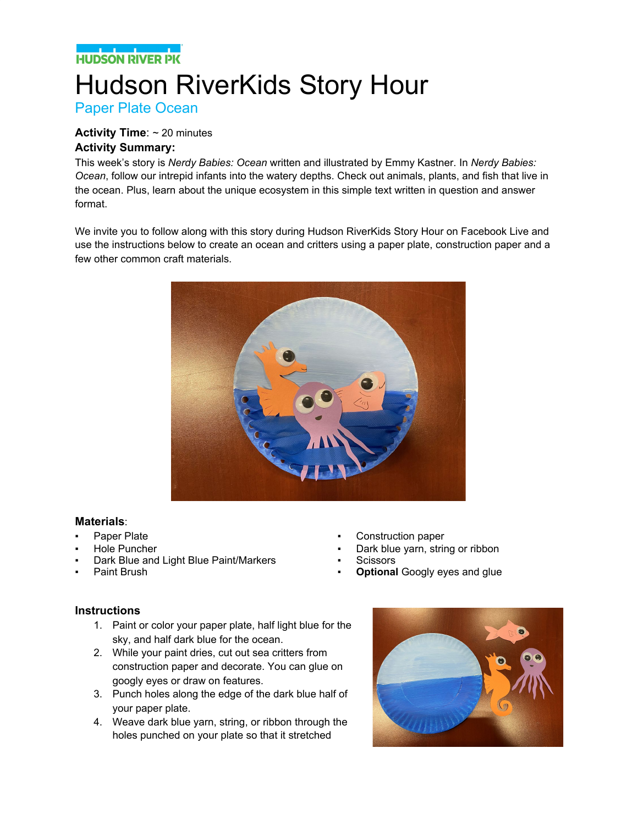### **NATIONAL PROPERTY**

# Hudson RiverKids Story Hour

Paper Plate Ocean

#### **Activity Time**: ~ 20 minutes **Activity Summary:**

This week's story is *Nerdy Babies: Ocean* written and illustrated by Emmy Kastner. In *Nerdy Babies: Ocean*, follow our intrepid infants into the watery depths. Check out animals, plants, and fish that live in the ocean. Plus, learn about the unique ecosystem in this simple text written in question and answer format.

We invite you to follow along with this story during Hudson RiverKids Story Hour on Facebook Live and use the instructions below to create an ocean and critters using a paper plate, construction paper and a few other common craft materials.



#### **Materials**:

- Paper Plate
- Hole Puncher
- Dark Blue and Light Blue Paint/Markers
- Paint Brush
- Construction paper
- Dark blue yarn, string or ribbon
- **Scissors**
- **Optional Googly eyes and glue**

#### **Instructions**

- 1. Paint or color your paper plate, half light blue for the sky, and half dark blue for the ocean.
- 2. While your paint dries, cut out sea critters from construction paper and decorate. You can glue on googly eyes or draw on features.
- 3. Punch holes along the edge of the dark blue half of your paper plate.
- 4. Weave dark blue yarn, string, or ribbon through the holes punched on your plate so that it stretched